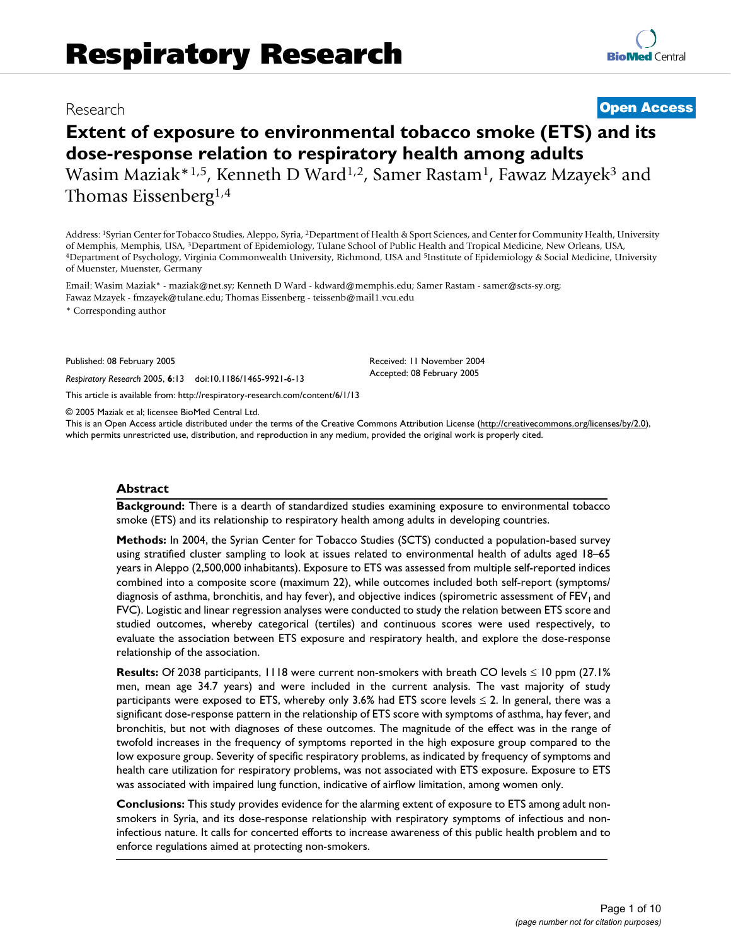# Research **[Open Access](http://www.biomedcentral.com/info/about/charter/)**

# **Extent of exposure to environmental tobacco smoke (ETS) and its dose-response relation to respiratory health among adults**

Wasim Maziak\*1,5, Kenneth D Ward<sup>1,2</sup>, Samer Rastam<sup>1</sup>, Fawaz Mzayek<sup>3</sup> and Thomas Eissenberg1,4

Address: 1Syrian Center for Tobacco Studies, Aleppo, Syria, 2Department of Health & Sport Sciences, and Center for Community Health, University of Memphis, Memphis, USA, <sup>3</sup>Department of Epidemiology, Tulane School of Public Health and Tropical Medicine, New Orleans, USA,<br><sup>4</sup>Department of Psychology, Virginia Commonwealth University, Richmond, USA and <sup>5</sup>Institute of Muenster, Muenster, Germany

Email: Wasim Maziak\* - maziak@net.sy; Kenneth D Ward - kdward@memphis.edu; Samer Rastam - samer@scts-sy.org; Fawaz Mzayek - fmzayek@tulane.edu; Thomas Eissenberg - teissenb@mail1.vcu.edu

\* Corresponding author

Published: 08 February 2005

*Respiratory Research* 2005, **6**:13 doi:10.1186/1465-9921-6-13

[This article is available from: http://respiratory-research.com/content/6/1/13](http://respiratory-research.com/content/6/1/13)

© 2005 Maziak et al; licensee BioMed Central Ltd.

This is an Open Access article distributed under the terms of the Creative Commons Attribution License [\(http://creativecommons.org/licenses/by/2.0\)](http://creativecommons.org/licenses/by/2.0), which permits unrestricted use, distribution, and reproduction in any medium, provided the original work is properly cited.

Received: 11 November 2004 Accepted: 08 February 2005

#### **Abstract**

**Background:** There is a dearth of standardized studies examining exposure to environmental tobacco smoke (ETS) and its relationship to respiratory health among adults in developing countries.

**Methods:** In 2004, the Syrian Center for Tobacco Studies (SCTS) conducted a population-based survey using stratified cluster sampling to look at issues related to environmental health of adults aged 18–65 years in Aleppo (2,500,000 inhabitants). Exposure to ETS was assessed from multiple self-reported indices combined into a composite score (maximum 22), while outcomes included both self-report (symptoms/ diagnosis of asthma, bronchitis, and hay fever), and objective indices (spirometric assessment of FEV<sub>1</sub> and FVC). Logistic and linear regression analyses were conducted to study the relation between ETS score and studied outcomes, whereby categorical (tertiles) and continuous scores were used respectively, to evaluate the association between ETS exposure and respiratory health, and explore the dose-response relationship of the association.

**Results:** Of 2038 participants, 1118 were current non-smokers with breath CO levels ≤ 10 ppm (27.1% men, mean age 34.7 years) and were included in the current analysis. The vast majority of study participants were exposed to ETS, whereby only 3.6% had ETS score levels  $\leq$  2. In general, there was a significant dose-response pattern in the relationship of ETS score with symptoms of asthma, hay fever, and bronchitis, but not with diagnoses of these outcomes. The magnitude of the effect was in the range of twofold increases in the frequency of symptoms reported in the high exposure group compared to the low exposure group. Severity of specific respiratory problems, as indicated by frequency of symptoms and health care utilization for respiratory problems, was not associated with ETS exposure. Exposure to ETS was associated with impaired lung function, indicative of airflow limitation, among women only.

**Conclusions:** This study provides evidence for the alarming extent of exposure to ETS among adult nonsmokers in Syria, and its dose-response relationship with respiratory symptoms of infectious and noninfectious nature. It calls for concerted efforts to increase awareness of this public health problem and to enforce regulations aimed at protecting non-smokers.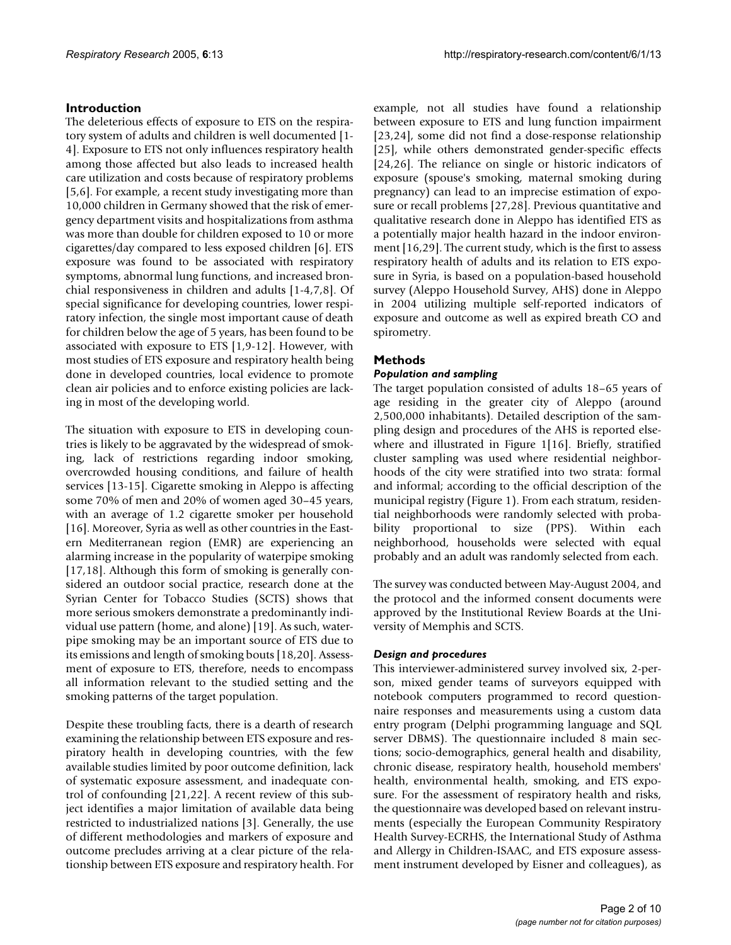# **Introduction**

The deleterious effects of exposure to ETS on the respiratory system of adults and children is well documented [1- 4]. Exposure to ETS not only influences respiratory health among those affected but also leads to increased health care utilization and costs because of respiratory problems [5,6]. For example, a recent study investigating more than 10,000 children in Germany showed that the risk of emergency department visits and hospitalizations from asthma was more than double for children exposed to 10 or more cigarettes/day compared to less exposed children [6]. ETS exposure was found to be associated with respiratory symptoms, abnormal lung functions, and increased bronchial responsiveness in children and adults [1-4,7,8]. Of special significance for developing countries, lower respiratory infection, the single most important cause of death for children below the age of 5 years, has been found to be associated with exposure to ETS [1,9-12]. However, with most studies of ETS exposure and respiratory health being done in developed countries, local evidence to promote clean air policies and to enforce existing policies are lacking in most of the developing world.

The situation with exposure to ETS in developing countries is likely to be aggravated by the widespread of smoking, lack of restrictions regarding indoor smoking, overcrowded housing conditions, and failure of health services [13-15]. Cigarette smoking in Aleppo is affecting some 70% of men and 20% of women aged 30–45 years, with an average of 1.2 cigarette smoker per household [16]. Moreover, Syria as well as other countries in the Eastern Mediterranean region (EMR) are experiencing an alarming increase in the popularity of waterpipe smoking [17,18]. Although this form of smoking is generally considered an outdoor social practice, research done at the Syrian Center for Tobacco Studies (SCTS) shows that more serious smokers demonstrate a predominantly individual use pattern (home, and alone) [19]. As such, waterpipe smoking may be an important source of ETS due to its emissions and length of smoking bouts [18,20]. Assessment of exposure to ETS, therefore, needs to encompass all information relevant to the studied setting and the smoking patterns of the target population.

Despite these troubling facts, there is a dearth of research examining the relationship between ETS exposure and respiratory health in developing countries, with the few available studies limited by poor outcome definition, lack of systematic exposure assessment, and inadequate control of confounding [21,22]. A recent review of this subject identifies a major limitation of available data being restricted to industrialized nations [3]. Generally, the use of different methodologies and markers of exposure and outcome precludes arriving at a clear picture of the relationship between ETS exposure and respiratory health. For example, not all studies have found a relationship between exposure to ETS and lung function impairment [23,24], some did not find a dose-response relationship [25], while others demonstrated gender-specific effects [24,26]. The reliance on single or historic indicators of exposure (spouse's smoking, maternal smoking during pregnancy) can lead to an imprecise estimation of exposure or recall problems [27,28]. Previous quantitative and qualitative research done in Aleppo has identified ETS as a potentially major health hazard in the indoor environment [16,29]. The current study, which is the first to assess respiratory health of adults and its relation to ETS exposure in Syria, is based on a population-based household survey (Aleppo Household Survey, AHS) done in Aleppo in 2004 utilizing multiple self-reported indicators of exposure and outcome as well as expired breath CO and spirometry.

# **Methods**

# *Population and sampling*

The target population consisted of adults 18–65 years of age residing in the greater city of Aleppo (around 2,500,000 inhabitants). Detailed description of the sampling design and procedures of the AHS is reported elsewhere and illustrated in Figure 1[16]. Briefly, stratified cluster sampling was used where residential neighborhoods of the city were stratified into two strata: formal and informal; according to the official description of the municipal registry (Figure 1). From each stratum, residential neighborhoods were randomly selected with probability proportional to size (PPS). Within each neighborhood, households were selected with equal probably and an adult was randomly selected from each.

The survey was conducted between May-August 2004, and the protocol and the informed consent documents were approved by the Institutional Review Boards at the University of Memphis and SCTS.

# *Design and procedures*

This interviewer-administered survey involved six, 2-person, mixed gender teams of surveyors equipped with notebook computers programmed to record questionnaire responses and measurements using a custom data entry program (Delphi programming language and SQL server DBMS). The questionnaire included 8 main sections; socio-demographics, general health and disability, chronic disease, respiratory health, household members' health, environmental health, smoking, and ETS exposure. For the assessment of respiratory health and risks, the questionnaire was developed based on relevant instruments (especially the European Community Respiratory Health Survey-ECRHS, the International Study of Asthma and Allergy in Children-ISAAC, and ETS exposure assessment instrument developed by Eisner and colleagues), as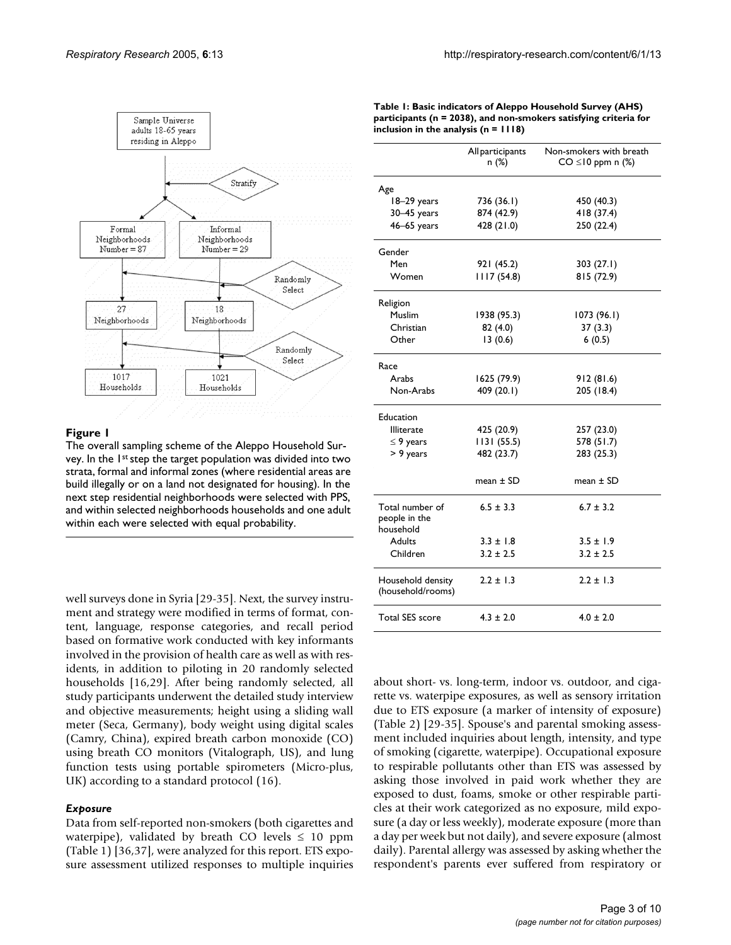

#### **Figure 1**

The overall sampling scheme of the Aleppo Household Survey. In the 1<sup>st</sup> step the target population was divided into two strata, formal and informal zones (where residential areas are build illegally or on a land not designated for housing). In the next step residential neighborhoods were selected with PPS, and within selected neighborhoods households and one adult within each were selected with equal probability.

well surveys done in Syria [29-35]. Next, the survey instrument and strategy were modified in terms of format, content, language, response categories, and recall period based on formative work conducted with key informants involved in the provision of health care as well as with residents, in addition to piloting in 20 randomly selected households [16,29]. After being randomly selected, all study participants underwent the detailed study interview and objective measurements; height using a sliding wall meter (Seca, Germany), body weight using digital scales (Camry, China), expired breath carbon monoxide (CO) using breath CO monitors (Vitalograph, US), and lung function tests using portable spirometers (Micro-plus, UK) according to a standard protocol (16).

#### *Exposure*

Data from self-reported non-smokers (both cigarettes and waterpipe), validated by breath CO levels  $\leq 10$  ppm (Table [1\)](#page-2-0) [36,37], were analyzed for this report. ETS exposure assessment utilized responses to multiple inquiries

|                                               | All participants<br>n (%) | Non-smokers with breath<br>$CO \leq 10$ ppm n $(\%)$ |
|-----------------------------------------------|---------------------------|------------------------------------------------------|
| Age                                           |                           |                                                      |
| 18-29 years                                   | 736 (36.1)                | 450 (40.3)                                           |
| $30 - 45$ years                               | 874 (42.9)                | 418 (37.4)                                           |
| $46 - 65$ years                               | 428 (21.0)                | 250 (22.4)                                           |
| Gender                                        |                           |                                                      |
| Men                                           | 921 (45.2)                | 303(27.1)                                            |
| Women                                         | 1117 (54.8)               | 815 (72.9)                                           |
| Religion                                      |                           |                                                      |
| Muslim                                        | 1938 (95.3)               | 1073(96.1)                                           |
| Christian                                     | 82 (4.0)                  | 37(3.3)                                              |
| Other                                         | 13(0.6)                   | 6(0.5)                                               |
| Race                                          |                           |                                                      |
| Arabs                                         | 1625 (79.9)               | 912(81.6)                                            |
| Non-Arabs                                     | 409 (20.1)                | 205 (18.4)                                           |
| Education                                     |                           |                                                      |
| <b>Illiterate</b>                             | 425 (20.9)                | 257 (23.0)                                           |
| $\leq$ 9 years                                | 1131(55.5)                | 578 (51.7)                                           |
| > 9 years                                     | 482 (23.7)                | 283 (25.3)                                           |
|                                               | mean ± SD                 | mean $\pm$ SD                                        |
| Total number of<br>people in the<br>household | $6.5 \pm 3.3$             | $6.7 \pm 3.2$                                        |
| <b>Adults</b>                                 | $3.3 \pm 1.8$             | $3.5 \pm 1.9$                                        |
| Children                                      | $3.2 \pm 2.5$             | $3.2 \pm 2.5$                                        |
| Household density<br>(household/rooms)        | $2.2 \pm 1.3$             | $2.2 \pm 1.3$                                        |
| <b>Total SES score</b>                        | $4.3 \pm 2.0$             | $4.0 \pm 2.0$                                        |

about short- vs. long-term, indoor vs. outdoor, and cigarette vs. waterpipe exposures, as well as sensory irritation due to ETS exposure (a marker of intensity of exposure) (Table 2) [29-35]. Spouse's and parental smoking assessment included inquiries about length, intensity, and type of smoking (cigarette, waterpipe). Occupational exposure to respirable pollutants other than ETS was assessed by asking those involved in paid work whether they are exposed to dust, foams, smoke or other respirable particles at their work categorized as no exposure, mild exposure (a day or less weekly), moderate exposure (more than a day per week but not daily), and severe exposure (almost daily). Parental allergy was assessed by asking whether the respondent's parents ever suffered from respiratory or

<span id="page-2-0"></span>

| Table 1: Basic indicators of Aleppo Household Survey (AHS)           |
|----------------------------------------------------------------------|
| participants ( $n = 2038$ ), and non-smokers satisfying criteria for |
| inclusion in the analysis $(n = 1118)$                               |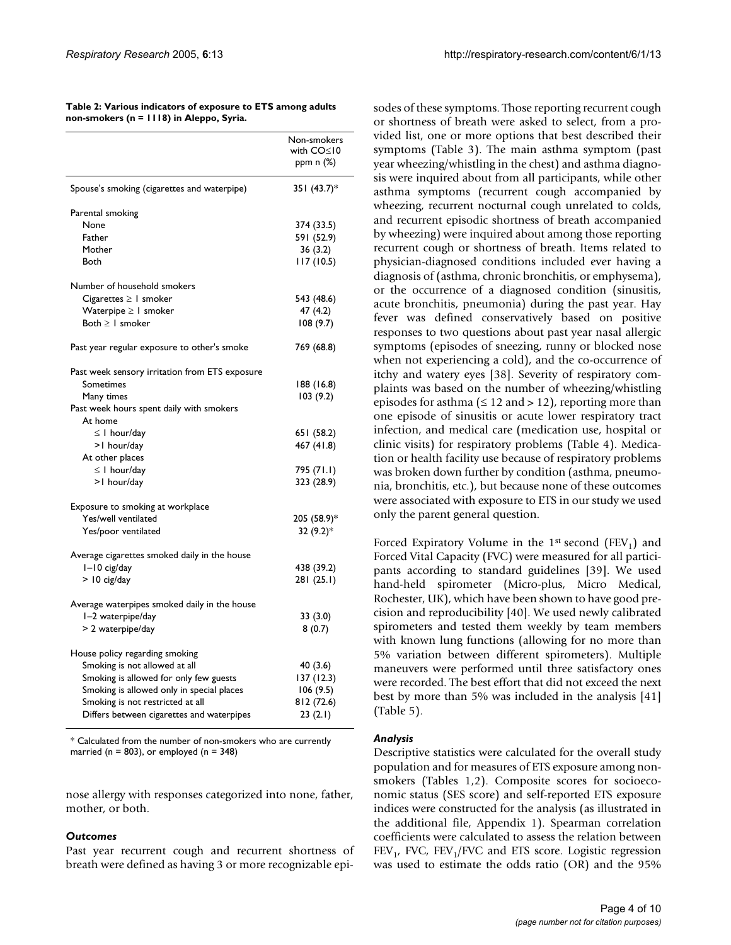| Table 2: Various indicators of exposure to ETS among adults |
|-------------------------------------------------------------|
| non-smokers (n = 1118) in Aleppo, Syria.                    |

|                                                | Non-smokers<br>with CO≤10<br>ppm n (%) |
|------------------------------------------------|----------------------------------------|
| Spouse's smoking (cigarettes and waterpipe)    | 351 (43.7)*                            |
| Parental smoking                               |                                        |
| None                                           | 374 (33.5)                             |
| Father                                         | 591 (52.9)                             |
| Mother                                         | 36 (3.2)                               |
| Both                                           | 117 (10.5)                             |
| Number of household smokers                    |                                        |
| Cigarettes $\geq 1$ smoker                     | 543 (48.6)                             |
| Waterpipe $\geq 1$ smoker                      | 47(4.2)                                |
| Both $\geq 1$ smoker                           | 108(9.7)                               |
| Past year regular exposure to other's smoke    | 769 (68.8)                             |
| Past week sensory irritation from ETS exposure |                                        |
| Sometimes                                      | 188 (16.8)                             |
| Many times                                     | 103(9.2)                               |
| Past week hours spent daily with smokers       |                                        |
| At home                                        |                                        |
| $\leq$   hour/day                              | 651 (58.2)                             |
| >1 hour/day                                    | 467 (41.8)                             |
| At other places                                |                                        |
| $\leq$   hour/day                              | 795 (71.I)                             |
| >1 hour/day                                    | 323 (28.9)                             |
| Exposure to smoking at workplace               |                                        |
| Yes/well ventilated                            | 205 (58.9)*                            |
| Yes/poor ventilated                            | 32 (9.2)*                              |
| Average cigarettes smoked daily in the house   |                                        |
| $I-I0$ cig/day                                 | 438 (39.2)                             |
| $>$ 10 cig/day                                 | 281 (25.1)                             |
| Average waterpipes smoked daily in the house   |                                        |
| I-2 waterpipe/day                              | 33 (3.0)                               |
| > 2 waterpipe/day                              | 8(0.7)                                 |
| House policy regarding smoking                 |                                        |
| Smoking is not allowed at all                  | 40 (3.6)                               |
| Smoking is allowed for only few guests         | 137 (12.3)                             |
| Smoking is allowed only in special places      | 106(9.5)                               |
| Smoking is not restricted at all               | 812 (72.6)                             |
| Differs between cigarettes and waterpipes      | 23 (2.1)                               |

\* Calculated from the number of non-smokers who are currently married ( $n = 803$ ), or employed ( $n = 348$ )

nose allergy with responses categorized into none, father, mother, or both.

#### *Outcomes*

Past year recurrent cough and recurrent shortness of breath were defined as having 3 or more recognizable episodes of these symptoms. Those reporting recurrent cough or shortness of breath were asked to select, from a provided list, one or more options that best described their symptoms (Table [3\)](#page-4-0). The main asthma symptom (past year wheezing/whistling in the chest) and asthma diagnosis were inquired about from all participants, while other asthma symptoms (recurrent cough accompanied by wheezing, recurrent nocturnal cough unrelated to colds, and recurrent episodic shortness of breath accompanied by wheezing) were inquired about among those reporting recurrent cough or shortness of breath. Items related to physician-diagnosed conditions included ever having a diagnosis of (asthma, chronic bronchitis, or emphysema), or the occurrence of a diagnosed condition (sinusitis, acute bronchitis, pneumonia) during the past year. Hay fever was defined conservatively based on positive responses to two questions about past year nasal allergic symptoms (episodes of sneezing, runny or blocked nose when not experiencing a cold), and the co-occurrence of itchy and watery eyes [38]. Severity of respiratory complaints was based on the number of wheezing/whistling episodes for asthma ( $\leq 12$  and  $> 12$ ), reporting more than one episode of sinusitis or acute lower respiratory tract infection, and medical care (medication use, hospital or clinic visits) for respiratory problems (Table [4\)](#page-4-1). Medication or health facility use because of respiratory problems was broken down further by condition (asthma, pneumonia, bronchitis, etc.), but because none of these outcomes were associated with exposure to ETS in our study we used only the parent general question.

Forced Expiratory Volume in the 1<sup>st</sup> second (FEV<sub>1</sub>) and Forced Vital Capacity (FVC) were measured for all participants according to standard guidelines [39]. We used hand-held spirometer (Micro-plus, Micro Medical, Rochester, UK), which have been shown to have good precision and reproducibility [40]. We used newly calibrated spirometers and tested them weekly by team members with known lung functions (allowing for no more than 5% variation between different spirometers). Multiple maneuvers were performed until three satisfactory ones were recorded. The best effort that did not exceed the next best by more than 5% was included in the analysis [41] (Table [5\)](#page-5-0).

#### *Analysis*

Descriptive statistics were calculated for the overall study population and for measures of ETS exposure among nonsmokers (Tables [1,](#page-2-0)2). Composite scores for socioeconomic status (SES score) and self-reported ETS exposure indices were constructed for the analysis (as illustrated in the additional file, Appendix 1). Spearman correlation coefficients were calculated to assess the relation between  $FEV<sub>1</sub>$ , FVC,  $FEV<sub>1</sub>/FVC$  and ETS score. Logistic regression was used to estimate the odds ratio (OR) and the 95%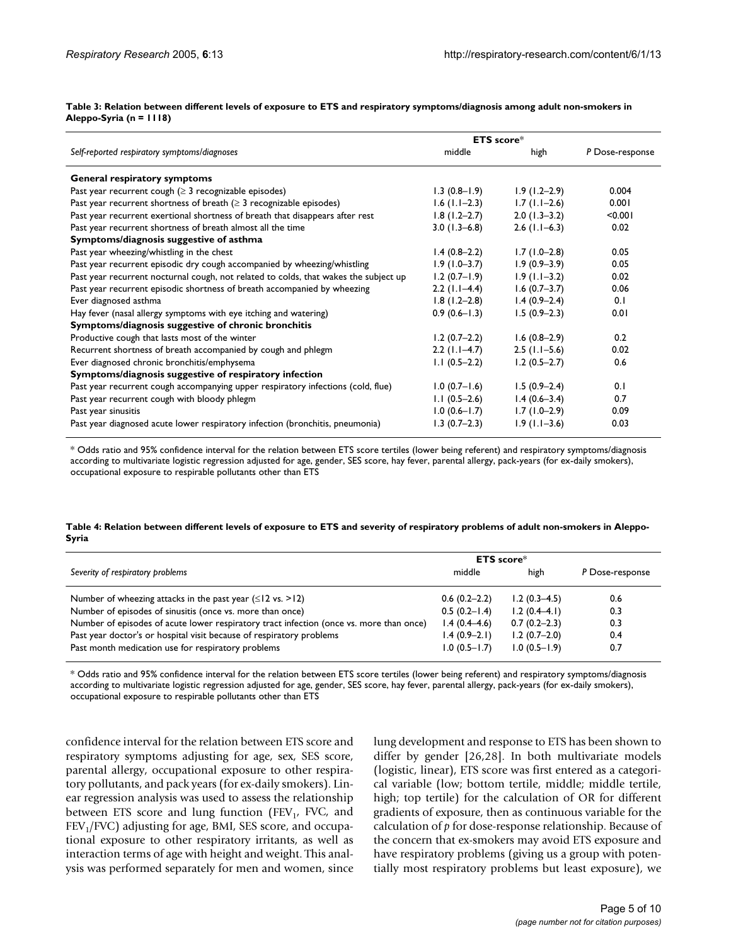#### <span id="page-4-0"></span>**Table 3: Relation between different levels of exposure to ETS and respiratory symptoms/diagnosis among adult non-smokers in Aleppo-Syria (n = 1118)**

|                                                                                      | ETS score*       |                 |                 |
|--------------------------------------------------------------------------------------|------------------|-----------------|-----------------|
| Self-reported respiratory symptoms/diagnoses                                         | middle           | high            | P Dose-response |
| General respiratory symptoms                                                         |                  |                 |                 |
| Past year recurrent cough ( $\geq$ 3 recognizable episodes)                          | $1.3(0.8-1.9)$   | $1.9(1.2-2.9)$  | 0.004           |
| Past year recurrent shortness of breath $(\geq 3$ recognizable episodes)             | $1.6$ (1.1–2.3)  | $1.7(1.1-2.6)$  | 0.001           |
| Past year recurrent exertional shortness of breath that disappears after rest        | $1.8(1.2 - 2.7)$ | $2.0(1.3-3.2)$  | < 0.001         |
| Past year recurrent shortness of breath almost all the time                          | $3.0(1.3-6.8)$   | $2.6$ (1.1–6.3) | 0.02            |
| Symptoms/diagnosis suggestive of asthma                                              |                  |                 |                 |
| Past year wheezing/whistling in the chest                                            | $1.4(0.8-2.2)$   | $1.7(1.0-2.8)$  | 0.05            |
| Past year recurrent episodic dry cough accompanied by wheezing/whistling             | $1.9(1.0-3.7)$   | $1.9(0.9-3.9)$  | 0.05            |
| Past year recurrent nocturnal cough, not related to colds, that wakes the subject up | $1.2(0.7-1.9)$   | $1.9(1.1-3.2)$  | 0.02            |
| Past year recurrent episodic shortness of breath accompanied by wheezing             | $2.2$ (1.1–4.4)  | $1.6(0.7-3.7)$  | 0.06            |
| Ever diagnosed asthma                                                                | $1.8(1.2 - 2.8)$ | $1.4(0.9-2.4)$  | 0.1             |
| Hay fever (nasal allergy symptoms with eye itching and watering)                     | $0.9(0.6-1.3)$   | $1.5(0.9-2.3)$  | 0.01            |
| Symptoms/diagnosis suggestive of chronic bronchitis                                  |                  |                 |                 |
| Productive cough that lasts most of the winter                                       | $1.2(0.7-2.2)$   | $1.6(0.8-2.9)$  | 0.2             |
| Recurrent shortness of breath accompanied by cough and phlegm                        | $2.2$ (1.1–4.7)  | $2.5$ (1.1–5.6) | 0.02            |
| Ever diagnosed chronic bronchitis/emphysema                                          | $1.1(0.5-2.2)$   | $1.2(0.5-2.7)$  | 0.6             |
| Symptoms/diagnosis suggestive of respiratory infection                               |                  |                 |                 |
| Past year recurrent cough accompanying upper respiratory infections (cold, flue)     | $1.0(0.7 - 1.6)$ | $1.5(0.9-2.4)$  | 0.1             |
| Past year recurrent cough with bloody phlegm                                         | $1.1(0.5-2.6)$   | $1.4(0.6-3.4)$  | 0.7             |
| Past year sinusitis                                                                  | $1.0(0.6 - 1.7)$ | $1.7(1.0-2.9)$  | 0.09            |
| Past year diagnosed acute lower respiratory infection (bronchitis, pneumonia)        | $1.3(0.7-2.3)$   | $1.9(1.1-3.6)$  | 0.03            |

\* Odds ratio and 95% confidence interval for the relation between ETS score tertiles (lower being referent) and respiratory symptoms/diagnosis according to multivariate logistic regression adjusted for age, gender, SES score, hay fever, parental allergy, pack-years (for ex-daily smokers), occupational exposure to respirable pollutants other than ETS

#### <span id="page-4-1"></span>**Table 4: Relation between different levels of exposure to ETS and severity of respiratory problems of adult non-smokers in Aleppo-Syria**

|                                                                                         | $ETS score*$     |                |                 |  |
|-----------------------------------------------------------------------------------------|------------------|----------------|-----------------|--|
| Severity of respiratory problems                                                        | middle           | high           | P Dose-response |  |
|                                                                                         |                  |                |                 |  |
| Number of wheezing attacks in the past year $(\leq 12 \text{ vs. } > 12)$               | $0.6(0.2-2.2)$   | $1.2(0.3-4.5)$ | 0.6             |  |
| Number of episodes of sinusitis (once vs. more than once)                               | $0.5(0.2 - 1.4)$ | $1.2(0.4-4.1)$ | 0.3             |  |
| Number of episodes of acute lower respiratory tract infection (once vs. more than once) | $1.4(0.4-4.6)$   | $0.7(0.2-2.3)$ | 0.3             |  |
| Past year doctor's or hospital visit because of respiratory problems                    | $1.4(0.9-2.1)$   | $1.2(0.7-2.0)$ | 0.4             |  |
| Past month medication use for respiratory problems                                      | $1.0(0.5 - 1.7)$ | $1.0(0.5-1.9)$ | 0.7             |  |

\* Odds ratio and 95% confidence interval for the relation between ETS score tertiles (lower being referent) and respiratory symptoms/diagnosis according to multivariate logistic regression adjusted for age, gender, SES score, hay fever, parental allergy, pack-years (for ex-daily smokers), occupational exposure to respirable pollutants other than ETS

confidence interval for the relation between ETS score and respiratory symptoms adjusting for age, sex, SES score, parental allergy, occupational exposure to other respiratory pollutants, and pack years (for ex-daily smokers). Linear regression analysis was used to assess the relationship between ETS score and lung function (FEV<sub>1</sub>, FVC, and  $FEV<sub>1</sub>/FVC$ ) adjusting for age, BMI, SES score, and occupational exposure to other respiratory irritants, as well as interaction terms of age with height and weight. This analysis was performed separately for men and women, since lung development and response to ETS has been shown to differ by gender [26,28]. In both multivariate models (logistic, linear), ETS score was first entered as a categorical variable (low; bottom tertile, middle; middle tertile, high; top tertile) for the calculation of OR for different gradients of exposure, then as continuous variable for the calculation of *p* for dose-response relationship. Because of the concern that ex-smokers may avoid ETS exposure and have respiratory problems (giving us a group with potentially most respiratory problems but least exposure), we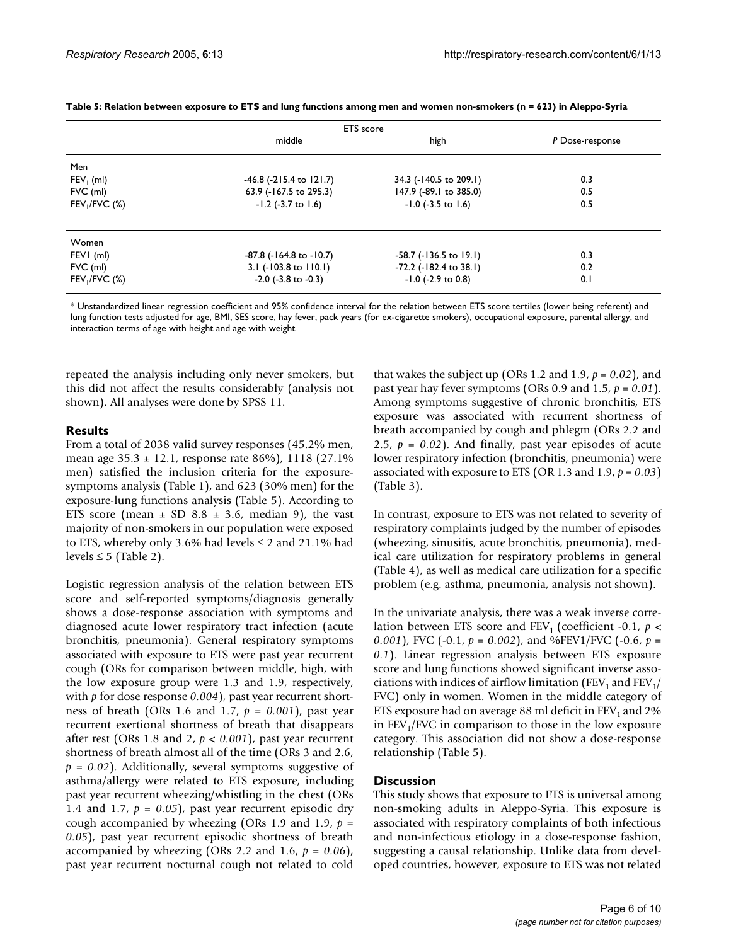| <b>ETS</b> score |                                 |                             |                 |  |  |
|------------------|---------------------------------|-----------------------------|-----------------|--|--|
|                  | middle                          | high                        | P Dose-response |  |  |
| Men              |                                 |                             |                 |  |  |
| $FEV1$ (ml)      | $-46.8$ ( $-215.4$ to $121.7$ ) | 34.3 (-140.5 to 209.1)      | 0.3             |  |  |
| $FVC$ (ml)       | 63.9 (-167.5 to 295.3)          | 147.9 (-89.1 to 385.0)      | 0.5             |  |  |
| $FEV_1/FVC$ (%)  | $-1.2$ ( $-3.7$ to 1.6)         | $-1.0$ ( $-3.5$ to 1.6)     | 0.5             |  |  |
| Women            |                                 |                             |                 |  |  |
| FEVI (ml)        | -87.8 (-164.8 to -10.7)         | -58.7 (-136.5 to 19.1)      | 0.3             |  |  |
| $FVC$ (ml)       | 3.1 (-103.8 to 110.1)           | $-72.2$ ( $-182.4$ to 38.1) | 0.2             |  |  |
| $FEV1/FVC$ (%)   | $-2.0$ ( $-3.8$ to $-0.3$ )     | $-1.0$ ( $-2.9$ to 0.8)     | 0.1             |  |  |

<span id="page-5-0"></span>

|  |  | Table 5: Relation between exposure to ETS and lung functions among men and women non-smokers (n = 623) in Aleppo-Syria |  |  |  |
|--|--|------------------------------------------------------------------------------------------------------------------------|--|--|--|
|--|--|------------------------------------------------------------------------------------------------------------------------|--|--|--|

\* Unstandardized linear regression coefficient and 95% confidence interval for the relation between ETS score tertiles (lower being referent) and lung function tests adjusted for age, BMI, SES score, hay fever, pack years (for ex-cigarette smokers), occupational exposure, parental allergy, and interaction terms of age with height and age with weight

repeated the analysis including only never smokers, but this did not affect the results considerably (analysis not shown). All analyses were done by SPSS 11.

#### **Results**

From a total of 2038 valid survey responses (45.2% men, mean age 35.3 ± 12.1, response rate 86%), 1118 (27.1% men) satisfied the inclusion criteria for the exposuresymptoms analysis (Table [1](#page-2-0)), and 623 (30% men) for the exposure-lung functions analysis (Table [5](#page-5-0)). According to ETS score (mean  $\pm$  SD 8.8  $\pm$  3.6, median 9), the vast majority of non-smokers in our population were exposed to ETS, whereby only 3.6% had levels  $\leq$  2 and 21.1% had levels  $\leq$  5 (Table 2).

Logistic regression analysis of the relation between ETS score and self-reported symptoms/diagnosis generally shows a dose-response association with symptoms and diagnosed acute lower respiratory tract infection (acute bronchitis, pneumonia). General respiratory symptoms associated with exposure to ETS were past year recurrent cough (ORs for comparison between middle, high, with the low exposure group were 1.3 and 1.9, respectively, with *p* for dose response *0.004*), past year recurrent shortness of breath (ORs 1.6 and 1.7, *p = 0.001*), past year recurrent exertional shortness of breath that disappears after rest (ORs 1.8 and 2,  $p < 0.001$ ), past year recurrent shortness of breath almost all of the time (ORs 3 and 2.6,  $p = 0.02$ ). Additionally, several symptoms suggestive of asthma/allergy were related to ETS exposure, including past year recurrent wheezing/whistling in the chest (ORs 1.4 and 1.7,  $p = 0.05$ , past year recurrent episodic dry cough accompanied by wheezing (ORs 1.9 and 1.9, *p = 0.05*), past year recurrent episodic shortness of breath accompanied by wheezing (ORs 2.2 and 1.6,  $p = 0.06$ ), past year recurrent nocturnal cough not related to cold that wakes the subject up (ORs 1.2 and 1.9,  $p = 0.02$ ), and past year hay fever symptoms (ORs 0.9 and 1.5,  $p = 0.01$ ). Among symptoms suggestive of chronic bronchitis, ETS exposure was associated with recurrent shortness of breath accompanied by cough and phlegm (ORs 2.2 and 2.5,  $p = 0.02$ ). And finally, past year episodes of acute lower respiratory infection (bronchitis, pneumonia) were associated with exposure to ETS (OR 1.3 and 1.9, *p = 0.03*) (Table [3\)](#page-4-0).

In contrast, exposure to ETS was not related to severity of respiratory complaints judged by the number of episodes (wheezing, sinusitis, acute bronchitis, pneumonia), medical care utilization for respiratory problems in general (Table [4\)](#page-4-1), as well as medical care utilization for a specific problem (e.g. asthma, pneumonia, analysis not shown).

In the univariate analysis, there was a weak inverse correlation between ETS score and  $FEV_1$  (coefficient -0.1,  $p <$ *0.001*), FVC (-0.1, *p = 0.002*), and %FEV1/FVC (-0.6, *p = 0.1*). Linear regression analysis between ETS exposure score and lung functions showed significant inverse associations with indices of airflow limitation (FEV<sub>1</sub> and FEV<sub>1</sub>/ FVC) only in women. Women in the middle category of ETS exposure had on average 88 ml deficit in  $FEV_1$  and 2% in  $FEV<sub>1</sub>/FVC$  in comparison to those in the low exposure category. This association did not show a dose-response relationship (Table [5](#page-5-0)).

#### **Discussion**

This study shows that exposure to ETS is universal among non-smoking adults in Aleppo-Syria. This exposure is associated with respiratory complaints of both infectious and non-infectious etiology in a dose-response fashion, suggesting a causal relationship. Unlike data from developed countries, however, exposure to ETS was not related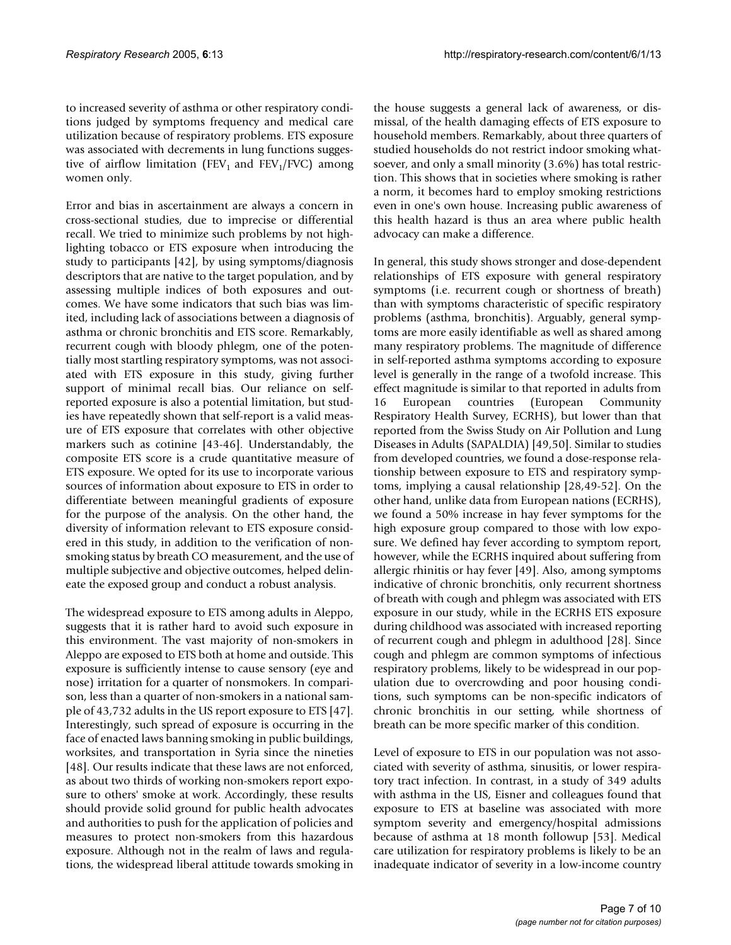to increased severity of asthma or other respiratory conditions judged by symptoms frequency and medical care utilization because of respiratory problems. ETS exposure was associated with decrements in lung functions suggestive of airflow limitation (FEV<sub>1</sub> and FEV<sub>1</sub>/FVC) among women only.

Error and bias in ascertainment are always a concern in cross-sectional studies, due to imprecise or differential recall. We tried to minimize such problems by not highlighting tobacco or ETS exposure when introducing the study to participants [42], by using symptoms/diagnosis descriptors that are native to the target population, and by assessing multiple indices of both exposures and outcomes. We have some indicators that such bias was limited, including lack of associations between a diagnosis of asthma or chronic bronchitis and ETS score. Remarkably, recurrent cough with bloody phlegm, one of the potentially most startling respiratory symptoms, was not associated with ETS exposure in this study, giving further support of minimal recall bias. Our reliance on selfreported exposure is also a potential limitation, but studies have repeatedly shown that self-report is a valid measure of ETS exposure that correlates with other objective markers such as cotinine [43-46]. Understandably, the composite ETS score is a crude quantitative measure of ETS exposure. We opted for its use to incorporate various sources of information about exposure to ETS in order to differentiate between meaningful gradients of exposure for the purpose of the analysis. On the other hand, the diversity of information relevant to ETS exposure considered in this study, in addition to the verification of nonsmoking status by breath CO measurement, and the use of multiple subjective and objective outcomes, helped delineate the exposed group and conduct a robust analysis.

The widespread exposure to ETS among adults in Aleppo, suggests that it is rather hard to avoid such exposure in this environment. The vast majority of non-smokers in Aleppo are exposed to ETS both at home and outside. This exposure is sufficiently intense to cause sensory (eye and nose) irritation for a quarter of nonsmokers. In comparison, less than a quarter of non-smokers in a national sample of 43,732 adults in the US report exposure to ETS [47]. Interestingly, such spread of exposure is occurring in the face of enacted laws banning smoking in public buildings, worksites, and transportation in Syria since the nineties [48]. Our results indicate that these laws are not enforced, as about two thirds of working non-smokers report exposure to others' smoke at work. Accordingly, these results should provide solid ground for public health advocates and authorities to push for the application of policies and measures to protect non-smokers from this hazardous exposure. Although not in the realm of laws and regulations, the widespread liberal attitude towards smoking in

the house suggests a general lack of awareness, or dismissal, of the health damaging effects of ETS exposure to household members. Remarkably, about three quarters of studied households do not restrict indoor smoking whatsoever, and only a small minority (3.6%) has total restriction. This shows that in societies where smoking is rather a norm, it becomes hard to employ smoking restrictions even in one's own house. Increasing public awareness of this health hazard is thus an area where public health advocacy can make a difference.

In general, this study shows stronger and dose-dependent relationships of ETS exposure with general respiratory symptoms (i.e. recurrent cough or shortness of breath) than with symptoms characteristic of specific respiratory problems (asthma, bronchitis). Arguably, general symptoms are more easily identifiable as well as shared among many respiratory problems. The magnitude of difference in self-reported asthma symptoms according to exposure level is generally in the range of a twofold increase. This effect magnitude is similar to that reported in adults from 16 European countries (European Community Respiratory Health Survey, ECRHS), but lower than that reported from the Swiss Study on Air Pollution and Lung Diseases in Adults (SAPALDIA) [49,50]. Similar to studies from developed countries, we found a dose-response relationship between exposure to ETS and respiratory symptoms, implying a causal relationship [28,49-52]. On the other hand, unlike data from European nations (ECRHS), we found a 50% increase in hay fever symptoms for the high exposure group compared to those with low exposure. We defined hay fever according to symptom report, however, while the ECRHS inquired about suffering from allergic rhinitis or hay fever [49]. Also, among symptoms indicative of chronic bronchitis, only recurrent shortness of breath with cough and phlegm was associated with ETS exposure in our study, while in the ECRHS ETS exposure during childhood was associated with increased reporting of recurrent cough and phlegm in adulthood [28]. Since cough and phlegm are common symptoms of infectious respiratory problems, likely to be widespread in our population due to overcrowding and poor housing conditions, such symptoms can be non-specific indicators of chronic bronchitis in our setting, while shortness of breath can be more specific marker of this condition.

Level of exposure to ETS in our population was not associated with severity of asthma, sinusitis, or lower respiratory tract infection. In contrast, in a study of 349 adults with asthma in the US, Eisner and colleagues found that exposure to ETS at baseline was associated with more symptom severity and emergency/hospital admissions because of asthma at 18 month followup [53]. Medical care utilization for respiratory problems is likely to be an inadequate indicator of severity in a low-income country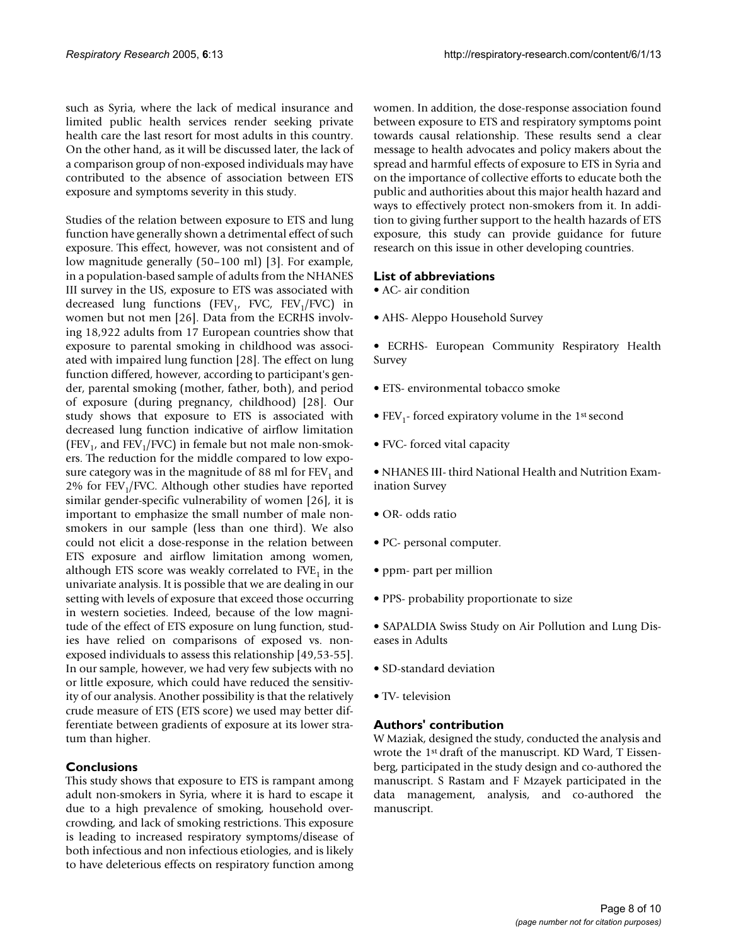such as Syria, where the lack of medical insurance and limited public health services render seeking private health care the last resort for most adults in this country. On the other hand, as it will be discussed later, the lack of a comparison group of non-exposed individuals may have contributed to the absence of association between ETS exposure and symptoms severity in this study.

Studies of the relation between exposure to ETS and lung function have generally shown a detrimental effect of such exposure. This effect, however, was not consistent and of low magnitude generally (50–100 ml) [3]. For example, in a population-based sample of adults from the NHANES III survey in the US, exposure to ETS was associated with decreased lung functions (FEV<sub>1</sub>, FVC, FEV<sub>1</sub>/FVC) in women but not men [26]. Data from the ECRHS involving 18,922 adults from 17 European countries show that exposure to parental smoking in childhood was associated with impaired lung function [28]. The effect on lung function differed, however, according to participant's gender, parental smoking (mother, father, both), and period of exposure (during pregnancy, childhood) [28]. Our study shows that exposure to ETS is associated with decreased lung function indicative of airflow limitation (FEV<sub>1</sub>, and FEV<sub>1</sub>/FVC) in female but not male non-smokers. The reduction for the middle compared to low exposure category was in the magnitude of 88 ml for  $FEV<sub>1</sub>$  and 2% for  $FEV<sub>1</sub>/FVC$ . Although other studies have reported similar gender-specific vulnerability of women [26], it is important to emphasize the small number of male nonsmokers in our sample (less than one third). We also could not elicit a dose-response in the relation between ETS exposure and airflow limitation among women, although ETS score was weakly correlated to  $FVE<sub>1</sub>$  in the univariate analysis. It is possible that we are dealing in our setting with levels of exposure that exceed those occurring in western societies. Indeed, because of the low magnitude of the effect of ETS exposure on lung function, studies have relied on comparisons of exposed vs. nonexposed individuals to assess this relationship [49,53-55]. In our sample, however, we had very few subjects with no or little exposure, which could have reduced the sensitivity of our analysis. Another possibility is that the relatively crude measure of ETS (ETS score) we used may better differentiate between gradients of exposure at its lower stratum than higher.

# **Conclusions**

This study shows that exposure to ETS is rampant among adult non-smokers in Syria, where it is hard to escape it due to a high prevalence of smoking, household overcrowding, and lack of smoking restrictions. This exposure is leading to increased respiratory symptoms/disease of both infectious and non infectious etiologies, and is likely to have deleterious effects on respiratory function among women. In addition, the dose-response association found between exposure to ETS and respiratory symptoms point towards causal relationship. These results send a clear message to health advocates and policy makers about the spread and harmful effects of exposure to ETS in Syria and on the importance of collective efforts to educate both the public and authorities about this major health hazard and ways to effectively protect non-smokers from it. In addition to giving further support to the health hazards of ETS exposure, this study can provide guidance for future research on this issue in other developing countries.

### **List of abbreviations**

• AC- air condition

• AHS- Aleppo Household Survey

• ECRHS- European Community Respiratory Health Survey

- ETS- environmental tobacco smoke
- FEV<sub>1</sub>- forced expiratory volume in the 1<sup>st</sup> second
- FVC- forced vital capacity

• NHANES III- third National Health and Nutrition Examination Survey

- OR- odds ratio
- PC- personal computer.
- ppm- part per million
- PPS- probability proportionate to size

• SAPALDIA Swiss Study on Air Pollution and Lung Diseases in Adults

- SD-standard deviation
- TV- television

# **Authors' contribution**

W Maziak, designed the study, conducted the analysis and wrote the 1st draft of the manuscript. KD Ward, T Eissenberg, participated in the study design and co-authored the manuscript. S Rastam and F Mzayek participated in the data management, analysis, and co-authored the manuscript.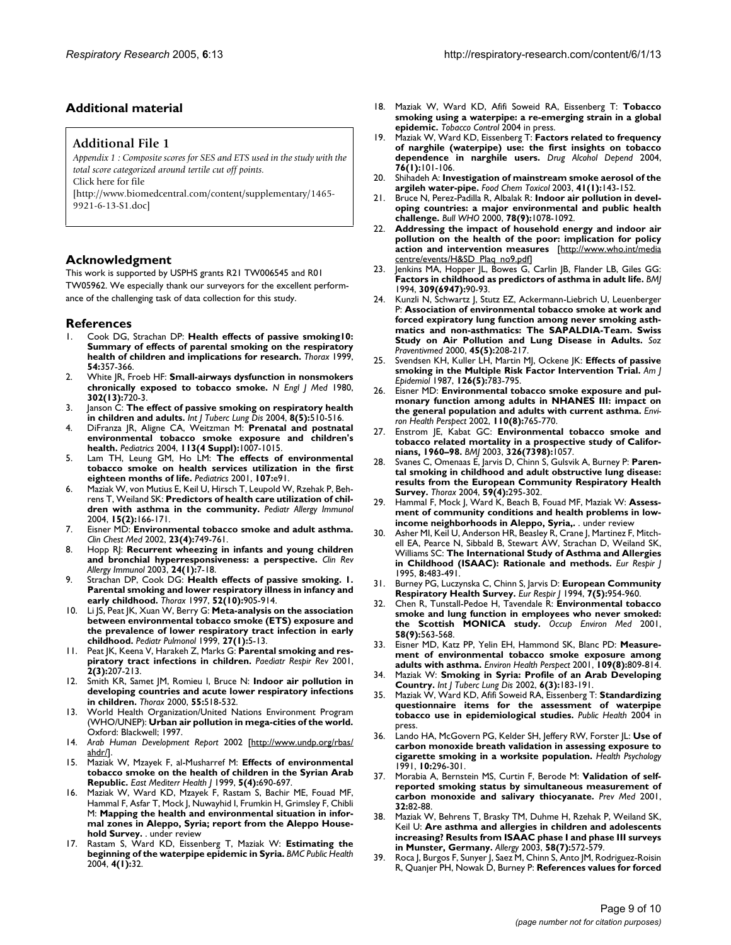### **Additional material**

#### **Additional File 1**

*Appendix 1 : Composite scores for SES and ETS used in the study with the total score categorized around tertile cut off points.*

Click here for file

[\[http://www.biomedcentral.com/content/supplementary/1465-](http://www.biomedcentral.com/content/supplementary/1465-9921-6-13-S1.doc) 9921-6-13-S1.doc]

#### **Acknowledgment**

This work is supported by USPHS grants R21 TW006545 and R01 TW05962. We especially thank our surveyors for the excellent performance of the challenging task of data collection for this study.

#### **References**

- 1. Cook DG, Strachan DP: **[Health effects of passive smoking10:](http://www.ncbi.nlm.nih.gov/entrez/query.fcgi?cmd=Retrieve&db=PubMed&dopt=Abstract&list_uids=10092699) [Summary of effects of parental smoking on the respiratory](http://www.ncbi.nlm.nih.gov/entrez/query.fcgi?cmd=Retrieve&db=PubMed&dopt=Abstract&list_uids=10092699) [health of children and implications for research.](http://www.ncbi.nlm.nih.gov/entrez/query.fcgi?cmd=Retrieve&db=PubMed&dopt=Abstract&list_uids=10092699)** *Thorax* 1999, **54:**357-366.
- 2. White JR, Froeb HF: **[Small-airways dysfunction in nonsmokers](http://www.ncbi.nlm.nih.gov/entrez/query.fcgi?cmd=Retrieve&db=PubMed&dopt=Abstract&list_uids=7354778) [chronically exposed to tobacco smoke.](http://www.ncbi.nlm.nih.gov/entrez/query.fcgi?cmd=Retrieve&db=PubMed&dopt=Abstract&list_uids=7354778)** *N Engl J Med* 1980, **302(13):**720-3.
- 3. Janson C: **[The effect of passive smoking on respiratory health](http://www.ncbi.nlm.nih.gov/entrez/query.fcgi?cmd=Retrieve&db=PubMed&dopt=Abstract&list_uids=15137524) [in children and adults.](http://www.ncbi.nlm.nih.gov/entrez/query.fcgi?cmd=Retrieve&db=PubMed&dopt=Abstract&list_uids=15137524)** *Int J Tuberc Lung Dis* 2004, **8(5):**510-516.
- 4. DiFranza JR, Aligne CA, Weitzman M: **[Prenatal and postnatal](http://www.ncbi.nlm.nih.gov/entrez/query.fcgi?cmd=Retrieve&db=PubMed&dopt=Abstract&list_uids=15060193) [environmental tobacco smoke exposure and children's](http://www.ncbi.nlm.nih.gov/entrez/query.fcgi?cmd=Retrieve&db=PubMed&dopt=Abstract&list_uids=15060193) [health.](http://www.ncbi.nlm.nih.gov/entrez/query.fcgi?cmd=Retrieve&db=PubMed&dopt=Abstract&list_uids=15060193)** *Pediatrics* 2004, **113(4 Suppl):**1007-1015.
- Lam TH, Leung GM, Ho LM: [The effects of environmental](http://www.ncbi.nlm.nih.gov/entrez/query.fcgi?cmd=Retrieve&db=PubMed&dopt=Abstract&list_uids=11389289) **[tobacco smoke on health services utilization in the first](http://www.ncbi.nlm.nih.gov/entrez/query.fcgi?cmd=Retrieve&db=PubMed&dopt=Abstract&list_uids=11389289) [eighteen months of life.](http://www.ncbi.nlm.nih.gov/entrez/query.fcgi?cmd=Retrieve&db=PubMed&dopt=Abstract&list_uids=11389289)** *Pediatrics* 2001, **107:**e91.
- 6. Maziak W, von Mutius E, Keil U, Hirsch T, Leupold W, Rzehak P, Behrens T, Weiland SK: **[Predictors of health care utilization of chil](http://www.ncbi.nlm.nih.gov/entrez/query.fcgi?cmd=Retrieve&db=PubMed&dopt=Abstract&list_uids=15059195)[dren with asthma in the community.](http://www.ncbi.nlm.nih.gov/entrez/query.fcgi?cmd=Retrieve&db=PubMed&dopt=Abstract&list_uids=15059195)** *Pediatr Allergy Immunol* 2004, **15(2):**166-171.
- 7. Eisner MD: **[Environmental tobacco smoke and adult asthma.](http://www.ncbi.nlm.nih.gov/entrez/query.fcgi?cmd=Retrieve&db=PubMed&dopt=Abstract&list_uids=12512163)** *Clin Chest Med* 2002, **23(4):**749-761.
- 8. Hopp RJ: **[Recurrent wheezing in infants and young children](http://www.ncbi.nlm.nih.gov/entrez/query.fcgi?cmd=Retrieve&db=PubMed&dopt=Abstract&list_uids=12644715) [and bronchial hyperresponsiveness: a perspective.](http://www.ncbi.nlm.nih.gov/entrez/query.fcgi?cmd=Retrieve&db=PubMed&dopt=Abstract&list_uids=12644715)** *Clin Rev Allergy Immunol* 2003, **24(1):**7-18.
- 9. Strachan DP, Cook DG: **[Health effects of passive smoking. 1.](http://www.ncbi.nlm.nih.gov/entrez/query.fcgi?cmd=Retrieve&db=PubMed&dopt=Abstract&list_uids=9404380) [Parental smoking and lower respiratory illness in infancy and](http://www.ncbi.nlm.nih.gov/entrez/query.fcgi?cmd=Retrieve&db=PubMed&dopt=Abstract&list_uids=9404380) [early childhood.](http://www.ncbi.nlm.nih.gov/entrez/query.fcgi?cmd=Retrieve&db=PubMed&dopt=Abstract&list_uids=9404380)** *Thorax* 1997, **52(10):**905-914.
- 10. Li JS, Peat JK, Xuan W, Berry G: **[Meta-analysis on the association](http://www.ncbi.nlm.nih.gov/entrez/query.fcgi?cmd=Retrieve&db=PubMed&dopt=Abstract&list_uids=10023785) between environmental tobacco smoke (ETS) exposure and [the prevalence of lower respiratory tract infection in early](http://www.ncbi.nlm.nih.gov/entrez/query.fcgi?cmd=Retrieve&db=PubMed&dopt=Abstract&list_uids=10023785) [childhood.](http://www.ncbi.nlm.nih.gov/entrez/query.fcgi?cmd=Retrieve&db=PubMed&dopt=Abstract&list_uids=10023785)** *Pediatr Pulmonol* 1999, **27(1):**5-13.
- 11. Peat JK, Keena V, Harakeh Z, Marks G: **[Parental smoking and res](http://www.ncbi.nlm.nih.gov/entrez/query.fcgi?cmd=Retrieve&db=PubMed&dopt=Abstract&list_uids=12052321)[piratory tract infections in children.](http://www.ncbi.nlm.nih.gov/entrez/query.fcgi?cmd=Retrieve&db=PubMed&dopt=Abstract&list_uids=12052321)** *Paediatr Respir Rev* 2001, **2(3):**207-213.
- 12. Smith KR, Samet JM, Romieu I, Bruce N: **[Indoor air pollution in](http://www.ncbi.nlm.nih.gov/entrez/query.fcgi?cmd=Retrieve&db=PubMed&dopt=Abstract&list_uids=10817802) [developing countries and acute lower respiratory infections](http://www.ncbi.nlm.nih.gov/entrez/query.fcgi?cmd=Retrieve&db=PubMed&dopt=Abstract&list_uids=10817802) [in children.](http://www.ncbi.nlm.nih.gov/entrez/query.fcgi?cmd=Retrieve&db=PubMed&dopt=Abstract&list_uids=10817802)** *Thorax* 2000, **55:**518-532.
- 13. World Health Organization/United Nations Environment Program (WHO/UNEP): **Urban air pollution in mega-cities of the world.** Oxford: Blackwell; 1997.
- 14. *Arab Human Development Report* 2002 [[http://www.undp.org/rbas/](http://www.undp.org/rbas/ahdr/) [ahdr/](http://www.undp.org/rbas/ahdr/)].
- 15. Maziak W, Mzayek F, al-Musharref M: **[Effects of environmental](http://www.ncbi.nlm.nih.gov/entrez/query.fcgi?cmd=Retrieve&db=PubMed&dopt=Abstract&list_uids=11338691) [tobacco smoke on the health of children in the Syrian Arab](http://www.ncbi.nlm.nih.gov/entrez/query.fcgi?cmd=Retrieve&db=PubMed&dopt=Abstract&list_uids=11338691) [Republic.](http://www.ncbi.nlm.nih.gov/entrez/query.fcgi?cmd=Retrieve&db=PubMed&dopt=Abstract&list_uids=11338691)** *East Mediterr Health J* 1999, **5(4):**690-697.
- 16. Maziak W, Ward KD, Mzayek F, Rastam S, Bachir ME, Fouad MF, Hammal F, Asfar T, Mock J, Nuwayhid I, Frumkin H, Grimsley F, Chibli M: **Mapping the health and environmental situation in informal zones in Aleppo, Syria; report from the Aleppo Household Survey.** . under review
- 17. Rastam S, Ward KD, Eissenberg T, Maziak W: **[Estimating the](http://www.ncbi.nlm.nih.gov/entrez/query.fcgi?cmd=Retrieve&db=PubMed&dopt=Abstract&list_uids=15294023) [beginning of the waterpipe epidemic in Syria.](http://www.ncbi.nlm.nih.gov/entrez/query.fcgi?cmd=Retrieve&db=PubMed&dopt=Abstract&list_uids=15294023)** *BMC Public Health* 2004, **4(1):**32.
- 18. Maziak W, Ward KD, Afifi Soweid RA, Eissenberg T: **Tobacco smoking using a waterpipe: a re-emerging strain in a global epidemic.** *Tobacco Control* 2004 in press.
- 19. Maziak W, Ward KD, Eissenberg T: **[Factors related to frequency](http://www.ncbi.nlm.nih.gov/entrez/query.fcgi?cmd=Retrieve&db=PubMed&dopt=Abstract&list_uids=15380294) [of narghile \(waterpipe\) use: the first insights on tobacco](http://www.ncbi.nlm.nih.gov/entrez/query.fcgi?cmd=Retrieve&db=PubMed&dopt=Abstract&list_uids=15380294) [dependence in narghile users.](http://www.ncbi.nlm.nih.gov/entrez/query.fcgi?cmd=Retrieve&db=PubMed&dopt=Abstract&list_uids=15380294)** *Drug Alcohol Depend* 2004, **76(1):**101-106.
- 20. Shihadeh A: **[Investigation of mainstream smoke aerosol of the](http://www.ncbi.nlm.nih.gov/entrez/query.fcgi?cmd=Retrieve&db=PubMed&dopt=Abstract&list_uids=12453738) [argileh water-pipe.](http://www.ncbi.nlm.nih.gov/entrez/query.fcgi?cmd=Retrieve&db=PubMed&dopt=Abstract&list_uids=12453738)** *Food Chem Toxicol* 2003, **41(1):**143-152.
- 21. Bruce N, Perez-Padilla R, Albalak R: **[Indoor air pollution in devel](http://www.ncbi.nlm.nih.gov/entrez/query.fcgi?cmd=Retrieve&db=PubMed&dopt=Abstract&list_uids=11019457)[oping countries: a major environmental and public health](http://www.ncbi.nlm.nih.gov/entrez/query.fcgi?cmd=Retrieve&db=PubMed&dopt=Abstract&list_uids=11019457) [challenge.](http://www.ncbi.nlm.nih.gov/entrez/query.fcgi?cmd=Retrieve&db=PubMed&dopt=Abstract&list_uids=11019457)** *Bull WHO* 2000, **78(9):**1078-1092.
- 22. **Addressing the impact of household energy and indoor air pollution on the health of the poor: implication for policy action and intervention measures** [[http://www.who.int/media](http://www.who.int/mediacentre/events/H&SD_Plaq_no9.pdf) [centre/events/H&SD\\_Plaq\\_no9.pdf](http://www.who.int/mediacentre/events/H&SD_Plaq_no9.pdf)]
- 23. Jenkins MA, Hopper JL, Bowes G, Carlin JB, Flander LB, Giles GG: **[Factors in childhood as predictors of asthma in adult life.](http://www.ncbi.nlm.nih.gov/entrez/query.fcgi?cmd=Retrieve&db=PubMed&dopt=Abstract&list_uids=8038673)** *BMJ* 1994, **309(6947):**90-93.
- 24. Kunzli N, Schwartz J, Stutz EZ, Ackermann-Liebrich U, Leuenberger P: **[Association of environmental tobacco smoke at work and](http://www.ncbi.nlm.nih.gov/entrez/query.fcgi?cmd=Retrieve&db=PubMed&dopt=Abstract&list_uids=11081239) forced expiratory lung function among never smoking asth[matics and non-asthmatics: The SAPALDIA-Team. Swiss](http://www.ncbi.nlm.nih.gov/entrez/query.fcgi?cmd=Retrieve&db=PubMed&dopt=Abstract&list_uids=11081239) [Study on Air Pollution and Lung Disease in Adults.](http://www.ncbi.nlm.nih.gov/entrez/query.fcgi?cmd=Retrieve&db=PubMed&dopt=Abstract&list_uids=11081239)** *Soz Praventivmed* 2000, **45(5):**208-217.
- 25. Svendsen KH, Kuller LH, Martin MJ, Ockene JK: **[Effects of passive](http://www.ncbi.nlm.nih.gov/entrez/query.fcgi?cmd=Retrieve&db=PubMed&dopt=Abstract&list_uids=3661526) [smoking in the Multiple Risk Factor Intervention Trial.](http://www.ncbi.nlm.nih.gov/entrez/query.fcgi?cmd=Retrieve&db=PubMed&dopt=Abstract&list_uids=3661526)** *Am J Epidemiol* 1987, **126(5):**783-795.
- 26. Eisner MD: **[Environmental tobacco smoke exposure and pul](http://www.ncbi.nlm.nih.gov/entrez/query.fcgi?cmd=Retrieve&db=PubMed&dopt=Abstract&list_uids=12153756)[monary function among adults in NHANES III: impact on](http://www.ncbi.nlm.nih.gov/entrez/query.fcgi?cmd=Retrieve&db=PubMed&dopt=Abstract&list_uids=12153756) [the general population and adults with current asthma.](http://www.ncbi.nlm.nih.gov/entrez/query.fcgi?cmd=Retrieve&db=PubMed&dopt=Abstract&list_uids=12153756)** *Environ Health Perspect* 2002, **110(8):**765-770.
- 27. Enstrom JE, Kabat GC: **[Environmental tobacco smoke and](http://www.ncbi.nlm.nih.gov/entrez/query.fcgi?cmd=Retrieve&db=PubMed&dopt=Abstract&list_uids=12750205) [tobacco related mortality in a prospective study of Califor](http://www.ncbi.nlm.nih.gov/entrez/query.fcgi?cmd=Retrieve&db=PubMed&dopt=Abstract&list_uids=12750205)[nians, 1960–98.](http://www.ncbi.nlm.nih.gov/entrez/query.fcgi?cmd=Retrieve&db=PubMed&dopt=Abstract&list_uids=12750205)** *BMJ* 2003, **326(7398):**1057.
- Svanes C, Omenaas E, Jarvis D, Chinn S, Gulsvik A, Burney P: [Paren](http://www.ncbi.nlm.nih.gov/entrez/query.fcgi?cmd=Retrieve&db=PubMed&dopt=Abstract&list_uids=15047948)**[tal smoking in childhood and adult obstructive lung disease:](http://www.ncbi.nlm.nih.gov/entrez/query.fcgi?cmd=Retrieve&db=PubMed&dopt=Abstract&list_uids=15047948) results from the European Community Respiratory Health [Survey.](http://www.ncbi.nlm.nih.gov/entrez/query.fcgi?cmd=Retrieve&db=PubMed&dopt=Abstract&list_uids=15047948)** *Thorax* 2004, **59(4):**295-302.
- 29. Hammal F, Mock J, Ward K, Beach B, Fouad MF, Maziak W: **Assessment of community conditions and health problems in lowincome neighborhoods in Aleppo, Syria,.** . under review
- 30. Asher MI, Keil U, Anderson HR, Beasley R, Crane J, Martinez F, Mitchell EA, Pearce N, Sibbald B, Stewart AW, Strachan D, Weiland SK, Williams SC: **[The International Study of Asthma and Allergies](http://www.ncbi.nlm.nih.gov/entrez/query.fcgi?cmd=Retrieve&db=PubMed&dopt=Abstract&list_uids=7789502) [in Childhood \(ISAAC\): Rationale and methods.](http://www.ncbi.nlm.nih.gov/entrez/query.fcgi?cmd=Retrieve&db=PubMed&dopt=Abstract&list_uids=7789502)** *Eur Respir J* 1995, **8:**483-491.
- 31. Burney PG, Luczynska C, Chinn S, Jarvis D: **[European Community](http://www.ncbi.nlm.nih.gov/entrez/query.fcgi?cmd=Retrieve&db=PubMed&dopt=Abstract&list_uids=8050554) [Respiratory Health Survey.](http://www.ncbi.nlm.nih.gov/entrez/query.fcgi?cmd=Retrieve&db=PubMed&dopt=Abstract&list_uids=8050554)** *Eur Respir J* 1994, **7(5):**954-960.
- 32. Chen R, Tunstall-Pedoe H, Tavendale R: **[Environmental tobacco](http://www.ncbi.nlm.nih.gov/entrez/query.fcgi?cmd=Retrieve&db=PubMed&dopt=Abstract&list_uids=11511742) [smoke and lung function in employees who never smoked:](http://www.ncbi.nlm.nih.gov/entrez/query.fcgi?cmd=Retrieve&db=PubMed&dopt=Abstract&list_uids=11511742) [the Scottish MONICA study.](http://www.ncbi.nlm.nih.gov/entrez/query.fcgi?cmd=Retrieve&db=PubMed&dopt=Abstract&list_uids=11511742)** *Occup Environ Med* 2001, **58(9):**563-568.
- 33. Eisner MD, Katz PP, Yelin EH, Hammond SK, Blanc PD: **[Measure](http://www.ncbi.nlm.nih.gov/entrez/query.fcgi?cmd=Retrieve&db=PubMed&dopt=Abstract&list_uids=11564616)[ment of environmental tobacco smoke exposure among](http://www.ncbi.nlm.nih.gov/entrez/query.fcgi?cmd=Retrieve&db=PubMed&dopt=Abstract&list_uids=11564616) [adults with asthma.](http://www.ncbi.nlm.nih.gov/entrez/query.fcgi?cmd=Retrieve&db=PubMed&dopt=Abstract&list_uids=11564616)** *Environ Health Perspect* 2001, **109(8):**809-814.
- 34. Maziak W: **[Smoking in Syria: Profile of an Arab Developing](http://www.ncbi.nlm.nih.gov/entrez/query.fcgi?cmd=Retrieve&db=PubMed&dopt=Abstract&list_uids=11934135) [Country.](http://www.ncbi.nlm.nih.gov/entrez/query.fcgi?cmd=Retrieve&db=PubMed&dopt=Abstract&list_uids=11934135)** *Int J Tuberc Lung Dis* 2002, **6(3):**183-191.
- 35. Maziak W, Ward KD, Afifi Soweid RA, Eissenberg T: **Standardizing questionnaire items for the assessment of waterpipe tobacco use in epidemiological studies.** *Public Health* 2004 in press.
- 36. Lando HA, McGovern PG, Kelder SH, Jeffery RW, Forster JL: **[Use of](http://www.ncbi.nlm.nih.gov/entrez/query.fcgi?cmd=Retrieve&db=PubMed&dopt=Abstract&list_uids=1915217) [carbon monoxide breath validation in assessing exposure to](http://www.ncbi.nlm.nih.gov/entrez/query.fcgi?cmd=Retrieve&db=PubMed&dopt=Abstract&list_uids=1915217) [cigarette smoking in a worksite population.](http://www.ncbi.nlm.nih.gov/entrez/query.fcgi?cmd=Retrieve&db=PubMed&dopt=Abstract&list_uids=1915217)** *Health Psychology* 1991, **10:**296-301.
- 37. Morabia A, Bernstein MS, Curtin F, Berode M: **[Validation of self](http://www.ncbi.nlm.nih.gov/entrez/query.fcgi?cmd=Retrieve&db=PubMed&dopt=Abstract&list_uids=11162330)[reported smoking status by simultaneous measurement of](http://www.ncbi.nlm.nih.gov/entrez/query.fcgi?cmd=Retrieve&db=PubMed&dopt=Abstract&list_uids=11162330) [carbon monoxide and salivary thiocyanate.](http://www.ncbi.nlm.nih.gov/entrez/query.fcgi?cmd=Retrieve&db=PubMed&dopt=Abstract&list_uids=11162330)** *Prev Med* 2001, **32:**82-88.
- 38. Maziak W, Behrens T, Brasky TM, Duhme H, Rzehak P, Weiland SK, Keil U: **[Are asthma and allergies in children and adolescents](http://www.ncbi.nlm.nih.gov/entrez/query.fcgi?cmd=Retrieve&db=PubMed&dopt=Abstract&list_uids=12823113) [increasing? Results from ISAAC phase I and phase III surveys](http://www.ncbi.nlm.nih.gov/entrez/query.fcgi?cmd=Retrieve&db=PubMed&dopt=Abstract&list_uids=12823113) [in Munster, Germany.](http://www.ncbi.nlm.nih.gov/entrez/query.fcgi?cmd=Retrieve&db=PubMed&dopt=Abstract&list_uids=12823113)** *Allergy* 2003, **58(7):**572-579.
- 39. Roca J, Burgos F, Sunyer J, Saez M, Chinn S, Anto JM, Rodriguez-Roisin R, Quanjer PH, Nowak D, Burney P: **[References values for forced](http://www.ncbi.nlm.nih.gov/entrez/query.fcgi?cmd=Retrieve&db=PubMed&dopt=Abstract&list_uids=9657579)**